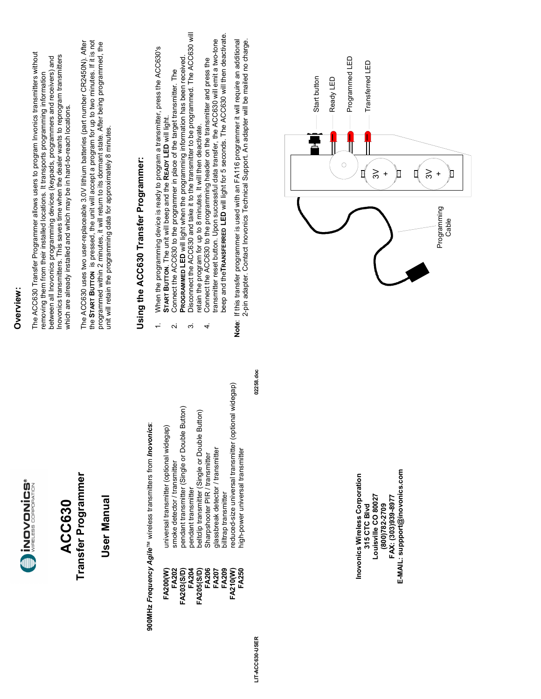

### **Transfer Programmer Transfer Programmer ACC630 ACC630**

### **User Manual User Manual**

# **900MHz** *Frequency Agile*™ wireless transmitters from *Inovonics*: 900MHz Frequency Agile<sup>TM</sup> wireless transmitters from *Inovonics*:

| universal transmitter (optional widegap)<br>smoke detector / transmitter | pendant transmitter (Single or Double Button) | beltclip transmitter (Single or Double Button)<br>bendant transmitter | jlassbreak detector / transmitter<br>Sharpshooter PIR / transmitter | billtrap transmitter | reduced-size universal transmitter (optional widegap)<br>high-power universal transmitter |
|--------------------------------------------------------------------------|-----------------------------------------------|-----------------------------------------------------------------------|---------------------------------------------------------------------|----------------------|-------------------------------------------------------------------------------------------|
| FA202<br>FA200(W)                                                        | FA203(S/D)                                    | FA204<br>FA205(S/D)                                                   | FA206<br>FA207                                                      | FA209                | FA210(W)<br>FA250                                                                         |

**LIT-ACC630-USER 02258.doc** LIT-ACC630-USER

02258.doc

#### **Overview:**  Overview:

The ACC630 Transfer Programmer allows users to program Invonics transmitters without The ACC630 Transfer Programmer allows users to program Invonics transmitters without Inovonics transmitters. This saves time when the dealer wants to reprogram transmitters between all Inovonics programming devices (keypads, programmers and receivers) and novonics transmitters. This saves time when the dealer wants to reprogram transmitters between all inovonics programming devices (keypads, programmers and receivers) and removing them from their installed locations. It transports programming information removing them from their installed locations. It transports programming information which are already installed and which may be in hard-to-reach locations. which are already installed and which may be in hard-to-reach locations.

the **START BUTTON** is pressed, the unit will accept a program for up to two minutes. If it is not The ACC630 uses two user-replaceable 3.0V lithium batteries (part number CR2450N). After the START BUTTON is pressed, the unit will accept a program for up to two minutes. If it is not The ACC630 uses two user-replaceable 3.0V lithium batteries (part number CR2450N). After programmed within 2 minutes, it will return to its dormant state. After being programmed, the programmed within 2 minutes, it will return to its dormant state. After being programmed, the<br>unit will retain the programming data for approximately 8 minutes. unit will retain the programming data for approximately 8 minutes.

## **Using the ACC630 Transfer Programmer:**  Using the ACC630 Transfer Programmer:

- When the programming device is ready to program a transmitter, press the ACC630's<br>START BUTTON. The unit will beep and the READY LED will light. 1. When the programming device is ready to program a transmitter, press the ACC630's  $\div$ 
	- 2. Connect the ACC630 to the programmer in place of the target transmitter. The Connect the ACC630 to the programmer in place of the target transmitter. The **START BUTTON**. The unit will beep and the **READY LED** will light.  $\overline{\mathbf{v}}$
- 3. Disconnect the ACC630 and take it to the transmitter to be programmed. The ACC630 will PROGRAMMED LED will light when the programming information has been received.<br>Disconnect the ACC630 and take it to the transmitter to be programmed. The ACC630 will **PROGRAMMED LED** will light when the programming information has been received.  $\tilde{\mathcal{E}}$ 
	- beep and the**TRANSFERRED LED** will light for 5 seconds. The ACC630 will then deactivate. beep and the TRANSFERRED LED will light for 5 seconds. The ACC630 will then deactivate. Connect the ACC630 to the programming header on the transmitter and press the<br>transmitter reset button. Upon successful data transfer, the ACC630 will emit a two-tone transmitter reset button. Upon successful data transfer, the ACC630 will emit a two-tone 4. Connect the ACC630 to the programming header on the transmitter and press the retain the program for up to 8 minutes. It will then deactivate. retain the program for up to 8 minutes. It will then deactivate.  $\overline{4}$
- 2-pin adapter. Contact Inovonics Technical Support. An adapter will be mailed no charge. Note: If this transfer programmer is used with an FA116 programmer it will require an additional<br>2-pin adapter. Contact Inovonics Technical Support. An adapter will be mailed no charge. **Note**: If this transfer programmer is used with an FA116 programmer it will require an additional

E-MAIL: suppport@inovonics.com **E-MAIL: suppport@inovonics.com** Inovonics Wireless Corporation **Inovonics Wireless Corporation**  Louisville CO 80027 **Louisville CO 80027 FAX: (303)939-8977**  FAX: (303)939-8977 **315 CTC Blvd**  (800)782-2709 **(800)782-2709**  315 CTC Blvd